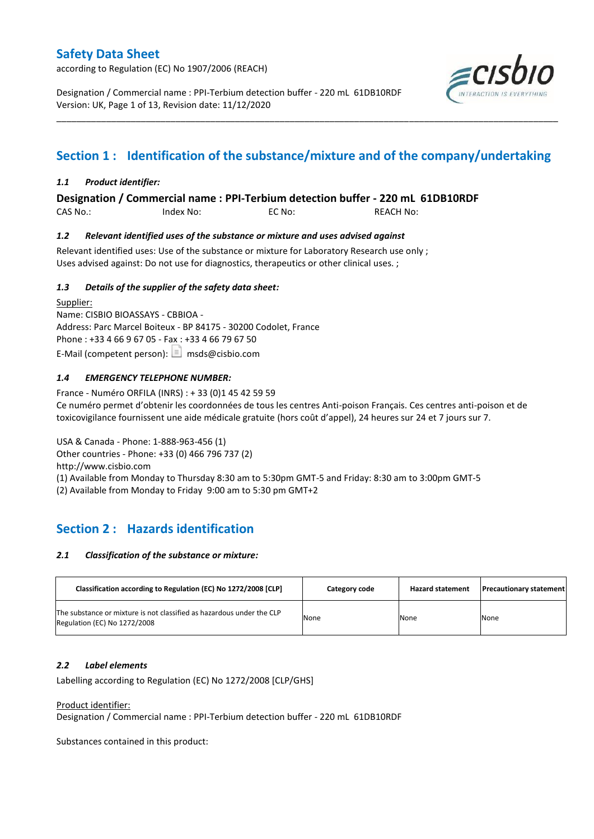according to Regulation (EC) No 1907/2006 (REACH)

Designation / Commercial name : PPI-Terbium detection buffer - 220 mL 61DB10RDF Version: UK, Page 1 of 13, Revision date: 11/12/2020



# **Section 1 : Identification of the substance/mixture and of the company/undertaking**

\_\_\_\_\_\_\_\_\_\_\_\_\_\_\_\_\_\_\_\_\_\_\_\_\_\_\_\_\_\_\_\_\_\_\_\_\_\_\_\_\_\_\_\_\_\_\_\_\_\_\_\_\_\_\_\_\_\_\_\_\_\_\_\_\_\_\_\_\_\_\_\_\_\_\_\_\_\_\_\_\_\_\_\_\_\_\_\_\_\_\_\_\_\_\_\_\_\_\_\_\_

### *1.1 Product identifier:*

**Designation / Commercial name : PPI-Terbium detection buffer - 220 mL 61DB10RDF** 

CAS No.: Index No: EC No: REACH No:

### *1.2 Relevant identified uses of the substance or mixture and uses advised against*

Relevant identified uses: Use of the substance or mixture for Laboratory Research use only ; Uses advised against: Do not use for diagnostics, therapeutics or other clinical uses. ;

### *1.3 Details of the supplier of the safety data sheet:*

Supplier: Name: CISBIO BIOASSAYS - CBBIOA - Address: Parc Marcel Boiteux - BP 84175 - 30200 Codolet, France Phone : +33 4 66 9 67 05 - Fax : +33 4 66 79 67 50 E-Mail (competent person):  $\boxed{\equiv}$  msds@cisbio.com

### *1.4 EMERGENCY TELEPHONE NUMBER:*

France - Numéro ORFILA (INRS) : + 33 (0)1 45 42 59 59 Ce numéro permet d'obtenir les coordonnées de tous les centres Anti-poison Français. Ces centres anti-poison et de toxicovigilance fournissent une aide médicale gratuite (hors coût d'appel), 24 heures sur 24 et 7 jours sur 7.

USA & Canada - Phone: 1-888-963-456 (1) Other countries - Phone: +33 (0) 466 796 737 (2) http://www.cisbio.com (1) Available from Monday to Thursday 8:30 am to 5:30pm GMT-5 and Friday: 8:30 am to 3:00pm GMT-5 (2) Available from Monday to Friday 9:00 am to 5:30 pm GMT+2

# **Section 2 : Hazards identification**

#### *2.1 Classification of the substance or mixture:*

| Classification according to Regulation (EC) No 1272/2008 [CLP]                                        | Category code | <b>Hazard statement</b> | <b>Precautionary statement</b> |
|-------------------------------------------------------------------------------------------------------|---------------|-------------------------|--------------------------------|
| The substance or mixture is not classified as hazardous under the CLP<br>Regulation (EC) No 1272/2008 | None          | None                    | None                           |

#### *2.2 Label elements*

Labelling according to Regulation (EC) No 1272/2008 [CLP/GHS]

#### Product identifier:

Designation / Commercial name : PPI-Terbium detection buffer - 220 mL 61DB10RDF

Substances contained in this product: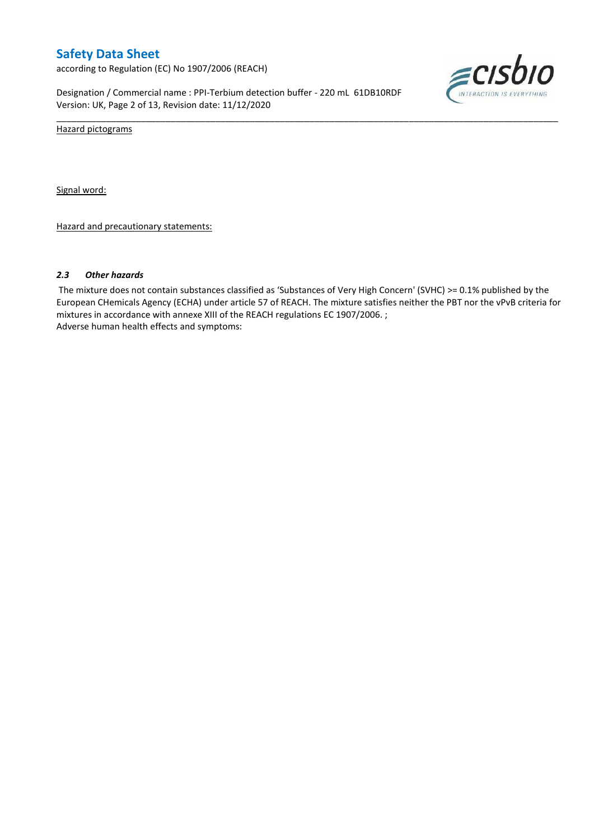according to Regulation (EC) No 1907/2006 (REACH)

Designation / Commercial name : PPI-Terbium detection buffer - 220 mL 61DB10RDF Version: UK, Page 2 of 13, Revision date: 11/12/2020



Hazard pictograms

Signal word:

Hazard and precautionary statements:

#### *2.3 Other hazards*

The mixture does not contain substances classified as 'Substances of Very High Concern' (SVHC) >= 0.1% published by the European CHemicals Agency (ECHA) under article 57 of REACH. The mixture satisfies neither the PBT nor the vPvB criteria for mixtures in accordance with annexe XIII of the REACH regulations EC 1907/2006. ; Adverse human health effects and symptoms:

\_\_\_\_\_\_\_\_\_\_\_\_\_\_\_\_\_\_\_\_\_\_\_\_\_\_\_\_\_\_\_\_\_\_\_\_\_\_\_\_\_\_\_\_\_\_\_\_\_\_\_\_\_\_\_\_\_\_\_\_\_\_\_\_\_\_\_\_\_\_\_\_\_\_\_\_\_\_\_\_\_\_\_\_\_\_\_\_\_\_\_\_\_\_\_\_\_\_\_\_\_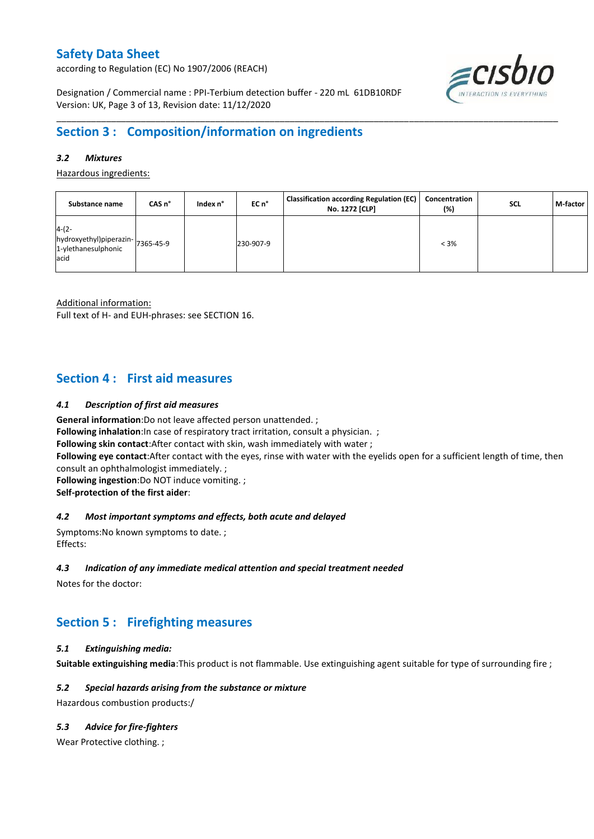according to Regulation (EC) No 1907/2006 (REACH)

 $\epsilon$ cisbio

Designation / Commercial name : PPI-Terbium detection buffer - 220 mL 61DB10RDF Version: UK, Page 3 of 13, Revision date: 11/12/2020

# **Section 3 : Composition/information on ingredients**

### *3.2 Mixtures*

Hazardous ingredients:

| Substance name                                                              | CAS n° | Index n° | EC n°     | <b>Classification according Regulation (EC)</b><br>No. 1272 [CLP] | Concentration<br>(%) | <b>SCL</b> | M-factor |
|-----------------------------------------------------------------------------|--------|----------|-----------|-------------------------------------------------------------------|----------------------|------------|----------|
| $4-(2-$<br>hydroxyethyl)piperazin-7365-45-9<br>1-ylethanesulphonic<br>lacid |        |          | 230-907-9 |                                                                   | $< 3\%$              |            |          |

\_\_\_\_\_\_\_\_\_\_\_\_\_\_\_\_\_\_\_\_\_\_\_\_\_\_\_\_\_\_\_\_\_\_\_\_\_\_\_\_\_\_\_\_\_\_\_\_\_\_\_\_\_\_\_\_\_\_\_\_\_\_\_\_\_\_\_\_\_\_\_\_\_\_\_\_\_\_\_\_\_\_\_\_\_\_\_\_\_\_\_\_\_\_\_\_\_\_\_\_\_

Additional information:

Full text of H- and EUH-phrases: see SECTION 16.

### **Section 4 : First aid measures**

#### *4.1 Description of first aid measures*

**General information**:Do not leave affected person unattended. ;

**Following inhalation:**In case of respiratory tract irritation, consult a physician. ;

**Following skin contact**:After contact with skin, wash immediately with water ;

**Following eye contact**:After contact with the eyes, rinse with water with the eyelids open for a sufficient length of time, then consult an ophthalmologist immediately. ;

**Following ingestion**:Do NOT induce vomiting. ;

**Self-protection of the first aider**:

#### *4.2 Most important symptoms and effects, both acute and delayed*

Symptoms:No known symptoms to date. ; Effects:

#### *4.3 Indication of any immediate medical attention and special treatment needed*

Notes for the doctor:

# **Section 5 : Firefighting measures**

#### *5.1 Extinguishing media:*

**Suitable extinguishing media**:This product is not flammable. Use extinguishing agent suitable for type of surrounding fire ;

#### *5.2 Special hazards arising from the substance or mixture*

Hazardous combustion products:/

### *5.3 Advice for fire-fighters*

Wear Protective clothing.;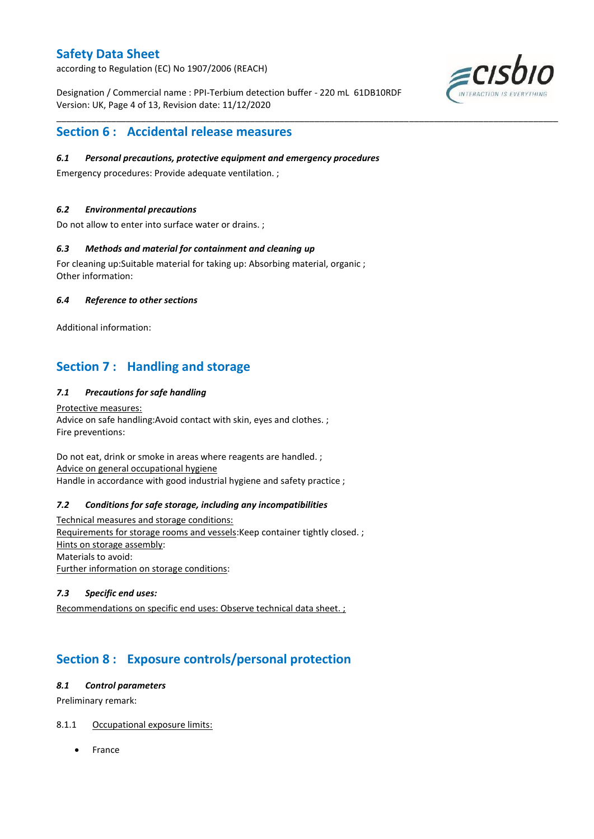according to Regulation (EC) No 1907/2006 (REACH)

Designation / Commercial name : PPI-Terbium detection buffer - 220 mL 61DB10RDF Version: UK, Page 4 of 13, Revision date: 11/12/2020

\_\_\_\_\_\_\_\_\_\_\_\_\_\_\_\_\_\_\_\_\_\_\_\_\_\_\_\_\_\_\_\_\_\_\_\_\_\_\_\_\_\_\_\_\_\_\_\_\_\_\_\_\_\_\_\_\_\_\_\_\_\_\_\_\_\_\_\_\_\_\_\_\_\_\_\_\_\_\_\_\_\_\_\_\_\_\_\_\_\_\_\_\_\_\_\_\_\_\_\_\_



### **Section 6 : Accidental release measures**

### *6.1 Personal precautions, protective equipment and emergency procedures*

Emergency procedures: Provide adequate ventilation. ;

### *6.2 Environmental precautions*

Do not allow to enter into surface water or drains. ;

#### *6.3 Methods and material for containment and cleaning up*

For cleaning up:Suitable material for taking up: Absorbing material, organic ; Other information:

### *6.4 Reference to other sections*

Additional information:

# **Section 7 : Handling and storage**

### *7.1 Precautions for safe handling*

Protective measures: Advice on safe handling:Avoid contact with skin, eyes and clothes. ; Fire preventions:

Do not eat, drink or smoke in areas where reagents are handled. ; Advice on general occupational hygiene Handle in accordance with good industrial hygiene and safety practice ;

#### *7.2 Conditions for safe storage, including any incompatibilities*

Technical measures and storage conditions: Requirements for storage rooms and vessels:Keep container tightly closed. ; Hints on storage assembly: Materials to avoid: Further information on storage conditions:

### *7.3 Specific end uses:*

Recommendations on specific end uses: Observe technical data sheet. ;

# **Section 8 : Exposure controls/personal protection**

#### *8.1 Control parameters*

Preliminary remark:

#### 8.1.1 Occupational exposure limits:

France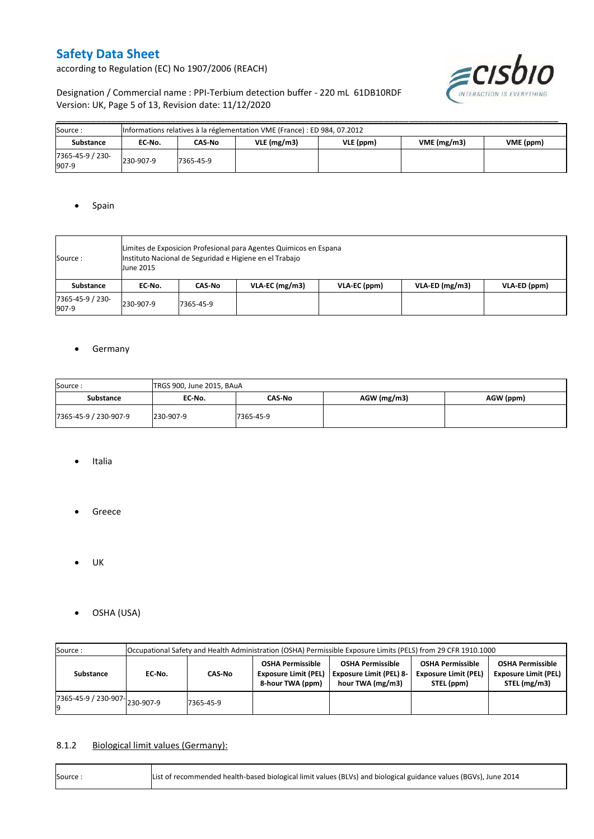according to Regulation (EC) No 1907/2006 (REACH)



Designation / Commercial name : PPI-Terbium detection buffer - 220 mL 61DB10RDF Version: UK, Page 5 of 13, Revision date: 11/12/2020

| Source:                   | Informations relatives à la réglementation VME (France) : ED 984, 07.2012 |           |            |           |            |           |  |  |  |  |  |
|---------------------------|---------------------------------------------------------------------------|-----------|------------|-----------|------------|-----------|--|--|--|--|--|
| Substance                 | CAS-No<br>EC No.                                                          |           | VLE(mg/m3) | VLE (ppm) | VME(mg/m3) | VME (ppm) |  |  |  |  |  |
| 7365-45-9 / 230-<br>907-9 | 230-907-9                                                                 | 7365-45-9 |            |           |            |           |  |  |  |  |  |

### • Spain

| Source :                  | Limites de Exposicion Profesional para Agentes Quimicos en Espana<br>Instituto Nacional de Seguridad e Higiene en el Trabajo<br><b>June 2015</b> |           |                  |              |                |              |  |  |  |  |
|---------------------------|--------------------------------------------------------------------------------------------------------------------------------------------------|-----------|------------------|--------------|----------------|--------------|--|--|--|--|
| Substance                 | EC No.                                                                                                                                           | CAS-No    | $VLA-EC$ (mg/m3) | VLA-EC (ppm) | VLA-ED (mg/m3) | VLA-ED (ppm) |  |  |  |  |
| 7365-45-9 / 230-<br>907-9 | 230-907-9                                                                                                                                        | 7365-45-9 |                  |              |                |              |  |  |  |  |

### **•** Germany

| Source:               | TRGS 900, June 2015, BAuA |           |               |           |  |  |  |  |  |  |
|-----------------------|---------------------------|-----------|---------------|-----------|--|--|--|--|--|--|
| Substance             | EC No.                    | CAS-No    | $AGW$ (mg/m3) | AGW (ppm) |  |  |  |  |  |  |
| 7365-45-9 / 230-907-9 | 230-907-9                 | 7365-45-9 |               |           |  |  |  |  |  |  |

- Italia
- **•** Greece
- $\bullet$  UK
- OSHA (USA)

| Source:                                  | Occupational Safety and Health Administration (OSHA) Permissible Exposure Limits (PELS) from 29 CFR 1910.1000 |           |                                                                            |                                                                               |                                                                      |                                                                        |  |  |  |  |
|------------------------------------------|---------------------------------------------------------------------------------------------------------------|-----------|----------------------------------------------------------------------------|-------------------------------------------------------------------------------|----------------------------------------------------------------------|------------------------------------------------------------------------|--|--|--|--|
| Substance                                | CAS-No<br>EC No.                                                                                              |           | <b>OSHA Permissible</b><br><b>Exposure Limit (PEL)</b><br>8-hour TWA (ppm) | <b>OSHA Permissible</b><br><b>Exposure Limit (PEL) 8-</b><br>hour TWA (mg/m3) | <b>OSHA Permissible</b><br><b>Exposure Limit (PEL)</b><br>STEL (ppm) | <b>OSHA Permissible</b><br><b>Exposure Limit (PEL)</b><br>STEL (mg/m3) |  |  |  |  |
| $17365 - 45 - 9$ / 230-907-<br>230-907-9 |                                                                                                               | 7365-45-9 |                                                                            |                                                                               |                                                                      |                                                                        |  |  |  |  |

### 8.1.2 Biological limit values (Germany):

| Source: | List of recommended health-based biological limit values (BLVs) and biological guidance values (BGVs), June 2014 |
|---------|------------------------------------------------------------------------------------------------------------------|
|---------|------------------------------------------------------------------------------------------------------------------|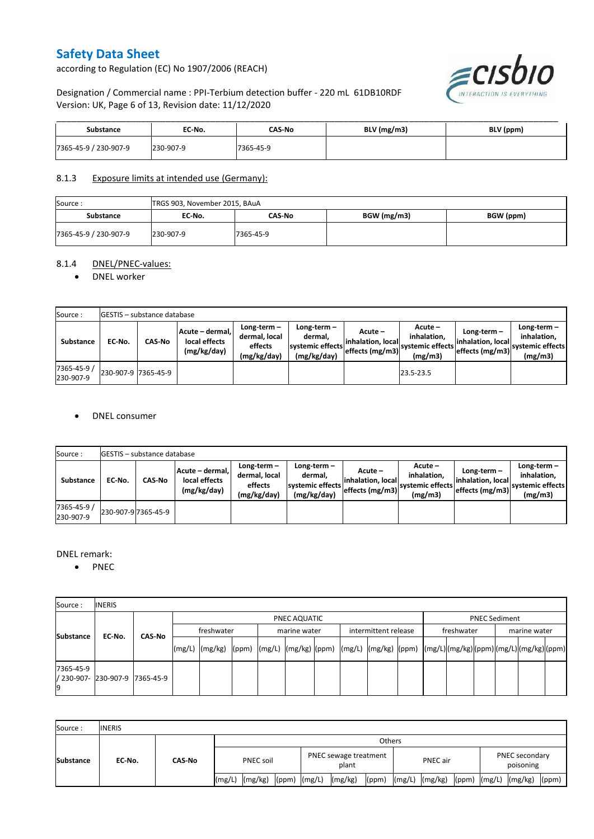according to Regulation (EC) No 1907/2006 (REACH)



Designation / Commercial name : PPI-Terbium detection buffer - 220 mL 61DB10RDF Version: UK, Page 6 of 13, Revision date: 11/12/2020

| <b>Substance</b>      | EC No.    | CAS No    | BLV (mg/m3) | BLV (ppm) |
|-----------------------|-----------|-----------|-------------|-----------|
| 7365-45-9 / 230-907-9 | 230-907-9 | 7365-45-9 |             |           |

### 8.1.3 Exposure limits at intended use (Germany):

| Source:               | TRGS 903, November 2015, BAuA |           |             |           |  |  |  |  |  |  |
|-----------------------|-------------------------------|-----------|-------------|-----------|--|--|--|--|--|--|
| <b>Substance</b>      | EC No.                        | CAS-No    | BGW (mg/m3) | BGW (ppm) |  |  |  |  |  |  |
| 7365-45-9 / 230-907-9 | 230-907-9                     | 7365-45-9 |             |           |  |  |  |  |  |  |

#### 8.1.4 DNEL/PNEC-values:

#### • DNEL worker

| Source:                  |                     | GESTIS - substance database |                                                                                                          |  |                                                          |                                                  |                                                         |                                                        |                                                          |  |  |  |  |  |  |
|--------------------------|---------------------|-----------------------------|----------------------------------------------------------------------------------------------------------|--|----------------------------------------------------------|--------------------------------------------------|---------------------------------------------------------|--------------------------------------------------------|----------------------------------------------------------|--|--|--|--|--|--|
| Substance                | EC-No.              | <b>CAS-No</b>               | Long-term-<br>Acute - dermal,<br>dermal, local<br>local effects<br>effects<br>(mg/kg/day)<br>(mg/kg/day) |  | Long-term-<br>dermal.<br>systemic effects<br>(mg/kg/day) | Acute –<br>linhalation. local<br>effects (mg/m3) | $Acute -$<br>inhalation.<br>systemic effects<br>(mg/m3) | $Long-term -$<br>linhalation. local<br>effects (mg/m3) | Long-term-<br>inhalation.<br>systemic effects<br>(mg/m3) |  |  |  |  |  |  |
| 7365-45-9 /<br>230-907-9 | 230-907-9 7365-45-9 |                             |                                                                                                          |  |                                                          |                                                  | 23.5-23.5                                               |                                                        |                                                          |  |  |  |  |  |  |

#### DNEL consumer

| Source:                  |        | <b>GESTIS</b> - substance database |                                                 |                                                          |                                                          |                               |                                                                                                         |                                                     |                                                             |
|--------------------------|--------|------------------------------------|-------------------------------------------------|----------------------------------------------------------|----------------------------------------------------------|-------------------------------|---------------------------------------------------------------------------------------------------------|-----------------------------------------------------|-------------------------------------------------------------|
| Substance                | EC-No. | <b>CAS-No</b>                      | Acute - dermal,<br>local effects<br>(mg/kg/day) | Long-term $-$<br>dermal, local<br>effects<br>(mg/kg/day) | Long-term-<br>dermal,<br>systemic effects<br>(mg/kg/day) | Acute –<br>linhalation. local | Acute -<br>inhalation.<br>---> effects (mg/m3)  <sup>systemic effects</sup>   <sub>-</sub> 4<br>(mg/m3) | Long-term –<br>inhalation. local<br>effects (mg/m3) | Long-term $-$<br>inhalation.<br>systemic effects<br>(mg/m3) |
| 7365-45-9 /<br>230-907-9 |        | 230-907-9 7365-45-9                |                                                 |                                                          |                                                          |                               |                                                                                                         |                                                     |                                                             |

#### DNEL remark:

• PNEC

| Source:         | <b>INERIS</b>                  |        |            |              |  |  |              |  |                      |  |            |                      |              |  |  |  |
|-----------------|--------------------------------|--------|------------|--------------|--|--|--------------|--|----------------------|--|------------|----------------------|--------------|--|--|--|
| Substance       |                                |        |            | PNEC AQUATIC |  |  |              |  |                      |  |            | <b>PNEC Sediment</b> |              |  |  |  |
|                 | EC No.                         | CAS-No | freshwater |              |  |  | marine water |  | intermittent release |  | freshwater |                      | marine water |  |  |  |
|                 |                                |        |            |              |  |  |              |  |                      |  |            |                      |              |  |  |  |
| 7365-45-9<br>19 | / 230-907- 230-907-9 7365-45-9 |        |            |              |  |  |              |  |                      |  |            |                      |              |  |  |  |

| Source:          | <b>INERIS</b> |        |                  |                    |                  |                                |         |       |          |                    |  |                             |                          |
|------------------|---------------|--------|------------------|--------------------|------------------|--------------------------------|---------|-------|----------|--------------------|--|-----------------------------|--------------------------|
| <b>Substance</b> | EC No.        | CAS-No | Others           |                    |                  |                                |         |       |          |                    |  |                             |                          |
|                  |               |        | <b>PNEC soil</b> |                    |                  | PNEC sewage treatment<br>plant |         |       | PNEC air |                    |  | PNEC secondary<br>poisoning |                          |
|                  |               |        |                  | $(mg/L)$ $(mg/kg)$ | $(ppm)$ $(mg/L)$ |                                | (mg/kg) | (ppm) |          | $(mg/L)$ $(mg/kg)$ |  |                             | (ppm) $(mg/L)$ $(mg/kg)$ |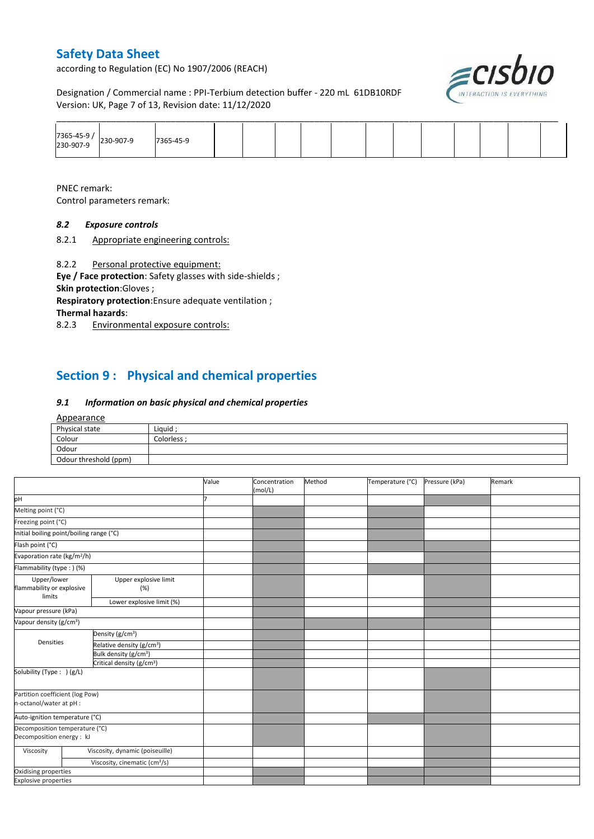according to Regulation (EC) No 1907/2006 (REACH)



Designation / Commercial name : PPI-Terbium detection buffer - 220 mL 61DB10RDF Version: UK, Page 7 of 13, Revision date: 11/12/2020

| 7365-45-9 | 230-907-9 | 7365-45-9 |  |  |  |  |  |  |
|-----------|-----------|-----------|--|--|--|--|--|--|

PNEC remark: Control parameters remark:

### *8.2 Exposure controls*

8.2.1 Appropriate engineering controls:

8.2.2 Personal protective equipment:

**Eye / Face protection**: Safety glasses with side-shields ; **Skin protection**:Gloves ;

**Respiratory protection**:Ensure adequate ventilation ; **Thermal hazards**:

8.2.3 Environmental exposure controls:

# **Section 9 : Physical and chemical properties**

### *9.1 Information on basic physical and chemical properties*

#### Appearance

| Physical state        | Liquid    |
|-----------------------|-----------|
| Colour                | Colorless |
| Odour                 |           |
| Odour threshold (ppm) |           |

|                                                             |                                           | Value | Concentration<br>(mol/L) | Method | Temperature (°C) | Pressure (kPa) | Remark |
|-------------------------------------------------------------|-------------------------------------------|-------|--------------------------|--------|------------------|----------------|--------|
| pH                                                          |                                           |       |                          |        |                  |                |        |
| Melting point (°C)                                          |                                           |       |                          |        |                  |                |        |
| Freezing point (°C)                                         |                                           |       |                          |        |                  |                |        |
| Initial boiling point/boiling range (°C)                    |                                           |       |                          |        |                  |                |        |
| Flash point (°C)                                            |                                           |       |                          |        |                  |                |        |
| Evaporation rate (kg/m <sup>2</sup> /h)                     |                                           |       |                          |        |                  |                |        |
| Flammability (type : ) (%)                                  |                                           |       |                          |        |                  |                |        |
| Upper/lower<br>flammability or explosive<br>limits          | Upper explosive limit<br>(%)              |       |                          |        |                  |                |        |
|                                                             | Lower explosive limit (%)                 |       |                          |        |                  |                |        |
| Vapour pressure (kPa)                                       |                                           |       |                          |        |                  |                |        |
| Vapour density (g/cm <sup>3</sup> )                         |                                           |       |                          |        |                  |                |        |
|                                                             | Density (g/cm <sup>3</sup> )              |       |                          |        |                  |                |        |
| Densities                                                   | Relative density (g/cm <sup>3</sup> )     |       |                          |        |                  |                |        |
|                                                             | Bulk density (g/cm <sup>3</sup> )         |       |                          |        |                  |                |        |
|                                                             | Critical density (g/cm <sup>3</sup> )     |       |                          |        |                  |                |        |
| Solubility (Type: ) (g/L)                                   |                                           |       |                          |        |                  |                |        |
| Partition coefficient (log Pow)<br>n-octanol/water at pH :  |                                           |       |                          |        |                  |                |        |
| Auto-ignition temperature (°C)                              |                                           |       |                          |        |                  |                |        |
| Decomposition temperature (°C)<br>Decomposition energy : kJ |                                           |       |                          |        |                  |                |        |
| Viscosity                                                   | Viscosity, dynamic (poiseuille)           |       |                          |        |                  |                |        |
|                                                             | Viscosity, cinematic (cm <sup>3</sup> /s) |       |                          |        |                  |                |        |
| Oxidising properties                                        |                                           |       |                          |        |                  |                |        |
| <b>Explosive properties</b>                                 |                                           |       |                          |        |                  |                |        |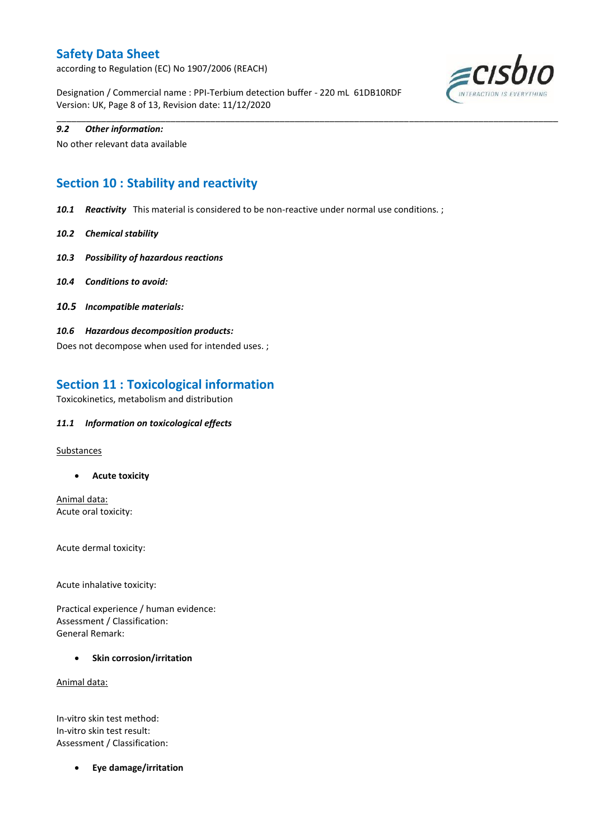according to Regulation (EC) No 1907/2006 (REACH)

Designation / Commercial name : PPI-Terbium detection buffer - 220 mL 61DB10RDF Version: UK, Page 8 of 13, Revision date: 11/12/2020



#### *9.2 Other information:*

No other relevant data available

# **Section 10 : Stability and reactivity**

*10.1 Reactivity* This material is considered to be non-reactive under normal use conditions. ;

\_\_\_\_\_\_\_\_\_\_\_\_\_\_\_\_\_\_\_\_\_\_\_\_\_\_\_\_\_\_\_\_\_\_\_\_\_\_\_\_\_\_\_\_\_\_\_\_\_\_\_\_\_\_\_\_\_\_\_\_\_\_\_\_\_\_\_\_\_\_\_\_\_\_\_\_\_\_\_\_\_\_\_\_\_\_\_\_\_\_\_\_\_\_\_\_\_\_\_\_\_

- *10.2 Chemical stability*
- *10.3 Possibility of hazardous reactions*
- *10.4 Conditions to avoid:*
- *10.5 Incompatible materials:*
- *10.6 Hazardous decomposition products:*

Does not decompose when used for intended uses. ;

## **Section 11 : Toxicological information**

Toxicokinetics, metabolism and distribution

#### *11.1 Information on toxicological effects*

#### **Substances**

**Acute toxicity**

Animal data: Acute oral toxicity:

Acute dermal toxicity:

Acute inhalative toxicity:

Practical experience / human evidence: Assessment / Classification: General Remark:

**•** Skin corrosion/irritation

Animal data:

In-vitro skin test method: In-vitro skin test result: Assessment / Classification:

**Eye damage/irritation**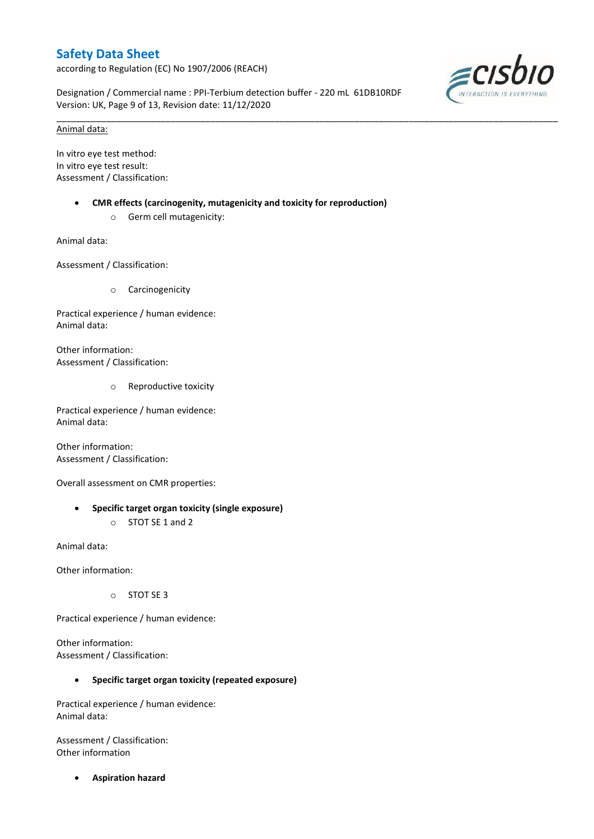according to Regulation (EC) No 1907/2006 (REACH)

Designation / Commercial name : PPI-Terbium detection buffer - 220 mL 61DB10RDF Version: UK, Page 9 of 13, Revision date: 11/12/2020

\_\_\_\_\_\_\_\_\_\_\_\_\_\_\_\_\_\_\_\_\_\_\_\_\_\_\_\_\_\_\_\_\_\_\_\_\_\_\_\_\_\_\_\_\_\_\_\_\_\_\_\_\_\_\_\_\_\_\_\_\_\_\_\_\_\_\_\_\_\_\_\_\_\_\_\_\_\_\_\_\_\_\_\_\_\_\_\_\_\_\_\_\_\_\_\_\_\_\_\_\_



#### Animal data:

In vitro eye test method: In vitro eye test result: Assessment / Classification:

- **CMR effects (carcinogenity, mutagenicity and toxicity for reproduction)**
	- o Germ cell mutagenicity:

Animal data:

Assessment / Classification:

o Carcinogenicity

Practical experience / human evidence: Animal data:

Other information: Assessment / Classification:

o Reproductive toxicity

Practical experience / human evidence: Animal data:

Other information: Assessment / Classification:

Overall assessment on CMR properties:

 **Specific target organ toxicity (single exposure)** o STOT SE 1 and 2

Animal data:

Other information:

o STOT SE 3

Practical experience / human evidence:

Other information: Assessment / Classification:

#### **Specific target organ toxicity (repeated exposure)**

Practical experience / human evidence: Animal data:

Assessment / Classification: Other information

**Aspiration hazard**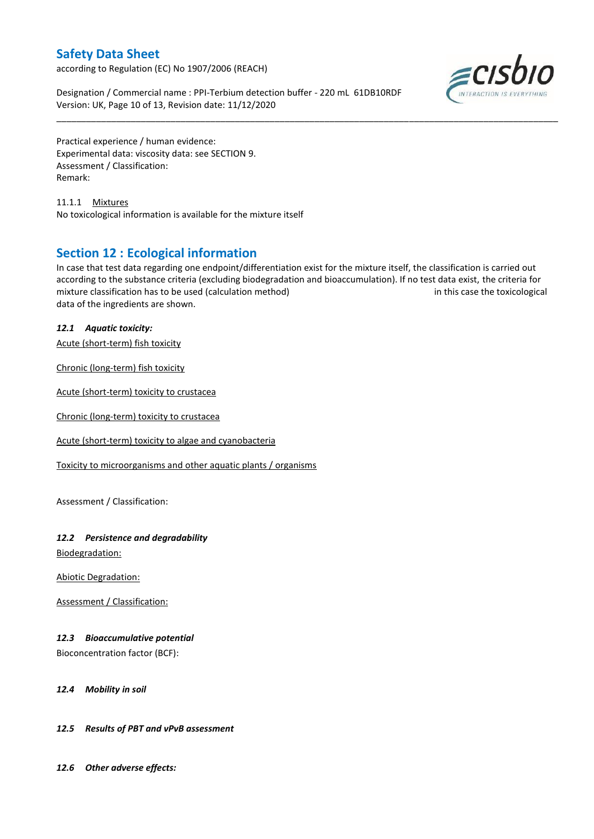according to Regulation (EC) No 1907/2006 (REACH)

Designation / Commercial name : PPI-Terbium detection buffer - 220 mL 61DB10RDF Version: UK, Page 10 of 13, Revision date: 11/12/2020



Practical experience / human evidence: Experimental data: viscosity data: see SECTION 9. Assessment / Classification: Remark:

11.1.1 Mixtures No toxicological information is available for the mixture itself

### **Section 12 : Ecological information**

In case that test data regarding one endpoint/differentiation exist for the mixture itself, the classification is carried out according to the substance criteria (excluding biodegradation and bioaccumulation). If no test data exist, the criteria for mixture classification has to be used (calculation method) in this case the toxicological data of the ingredients are shown.

\_\_\_\_\_\_\_\_\_\_\_\_\_\_\_\_\_\_\_\_\_\_\_\_\_\_\_\_\_\_\_\_\_\_\_\_\_\_\_\_\_\_\_\_\_\_\_\_\_\_\_\_\_\_\_\_\_\_\_\_\_\_\_\_\_\_\_\_\_\_\_\_\_\_\_\_\_\_\_\_\_\_\_\_\_\_\_\_\_\_\_\_\_\_\_\_\_\_\_\_\_

### *12.1 Aquatic toxicity:*

Acute (short-term) fish toxicity

Chronic (long-term) fish toxicity

Acute (short-term) toxicity to crustacea

Chronic (long-term) toxicity to crustacea

Acute (short-term) toxicity to algae and cyanobacteria

Toxicity to microorganisms and other aquatic plants / organisms

Assessment / Classification:

### *12.2 Persistence and degradability*

Biodegradation:

Abiotic Degradation:

Assessment / Classification:

### *12.3 Bioaccumulative potential*

Bioconcentration factor (BCF):

#### *12.4 Mobility in soil*

### *12.5 Results of PBT and vPvB assessment*

*12.6 Other adverse effects:*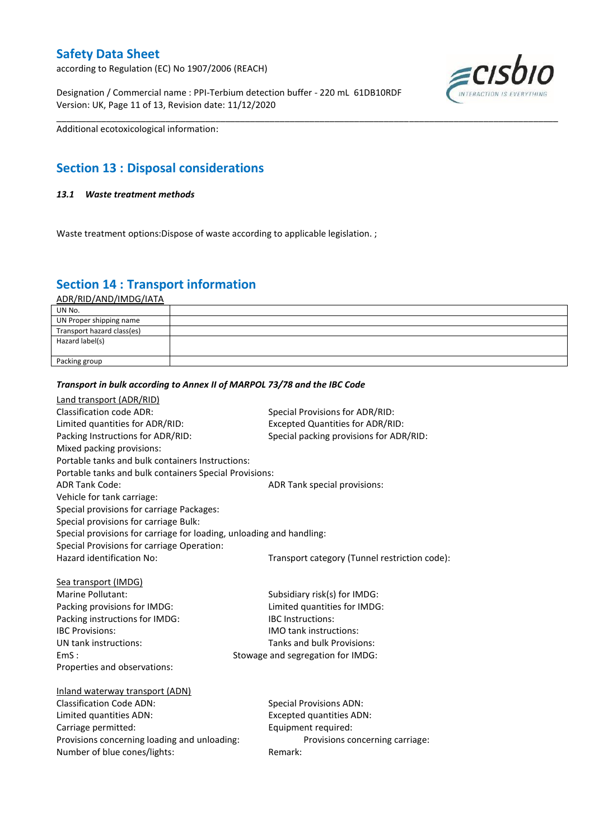according to Regulation (EC) No 1907/2006 (REACH)

Designation / Commercial name : PPI-Terbium detection buffer - 220 mL 61DB10RDF Version: UK, Page 11 of 13, Revision date: 11/12/2020



Additional ecotoxicological information:

# **Section 13 : Disposal considerations**

### *13.1 Waste treatment methods*

Waste treatment options: Dispose of waste according to applicable legislation.;

# **Section 14 : Transport information**

ADR/RID/AND/IMDG/IATA

| UN No.                     |  |
|----------------------------|--|
| UN Proper shipping name    |  |
| Transport hazard class(es) |  |
| Hazard label(s)            |  |
|                            |  |
| Packing group              |  |

\_\_\_\_\_\_\_\_\_\_\_\_\_\_\_\_\_\_\_\_\_\_\_\_\_\_\_\_\_\_\_\_\_\_\_\_\_\_\_\_\_\_\_\_\_\_\_\_\_\_\_\_\_\_\_\_\_\_\_\_\_\_\_\_\_\_\_\_\_\_\_\_\_\_\_\_\_\_\_\_\_\_\_\_\_\_\_\_\_\_\_\_\_\_\_\_\_\_\_\_\_

#### *Transport in bulk according to Annex II of MARPOL 73/78 and the IBC Code*

| Land transport (ADR/RID)                                             |                                               |
|----------------------------------------------------------------------|-----------------------------------------------|
| Classification code ADR:                                             | Special Provisions for ADR/RID:               |
| Limited quantities for ADR/RID:                                      | <b>Excepted Quantities for ADR/RID:</b>       |
| Packing Instructions for ADR/RID:                                    | Special packing provisions for ADR/RID:       |
| Mixed packing provisions:                                            |                                               |
| Portable tanks and bulk containers Instructions:                     |                                               |
| Portable tanks and bulk containers Special Provisions:               |                                               |
| <b>ADR Tank Code:</b>                                                | ADR Tank special provisions:                  |
| Vehicle for tank carriage:                                           |                                               |
| Special provisions for carriage Packages:                            |                                               |
| Special provisions for carriage Bulk:                                |                                               |
| Special provisions for carriage for loading, unloading and handling: |                                               |
| Special Provisions for carriage Operation:                           |                                               |
| Hazard identification No:                                            | Transport category (Tunnel restriction code): |
|                                                                      |                                               |
| Sea transport (IMDG)                                                 |                                               |
| Marine Pollutant:                                                    | Subsidiary risk(s) for IMDG:                  |
| Packing provisions for IMDG:                                         | Limited quantities for IMDG:                  |
| Packing instructions for IMDG:                                       | <b>IBC</b> Instructions:                      |
| <b>IBC Provisions:</b>                                               | <b>IMO</b> tank instructions:                 |
| UN tank instructions:                                                | Tanks and bulk Provisions:                    |
| EmS:                                                                 | Stowage and segregation for IMDG:             |
| Properties and observations:                                         |                                               |
|                                                                      |                                               |
| Inland waterway transport (ADN)                                      |                                               |
| <b>Classification Code ADN:</b>                                      | <b>Special Provisions ADN:</b>                |
| Limited quantities ADN:                                              | <b>Excepted quantities ADN:</b>               |
| Carriage permitted:                                                  | Equipment required:                           |
| Provisions concerning loading and unloading:                         | Provisions concerning carriage:               |
| Number of blue cones/lights:                                         | Remark:                                       |
|                                                                      |                                               |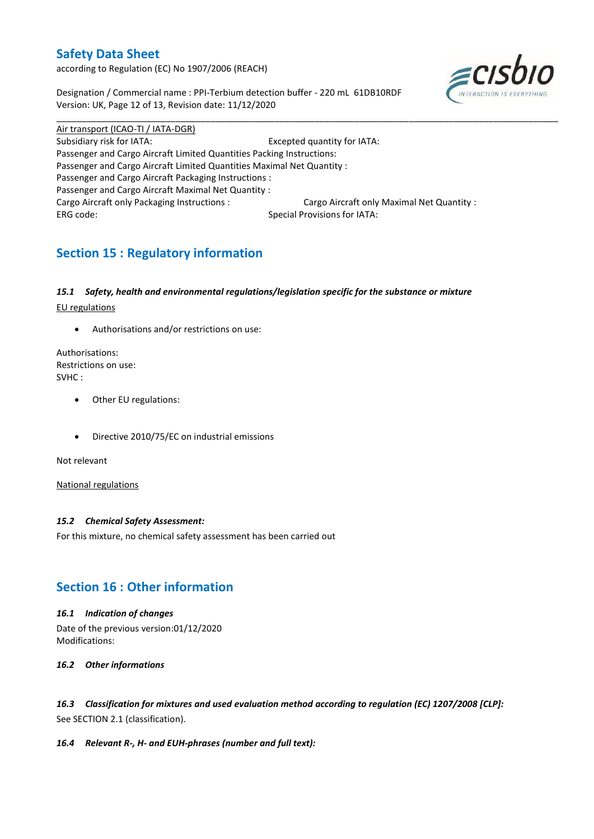according to Regulation (EC) No 1907/2006 (REACH)

Designation / Commercial name : PPI-Terbium detection buffer - 220 mL 61DB10RDF Version: UK, Page 12 of 13, Revision date: 11/12/2020



Air transport (ICAO-TI / IATA-DGR) Subsidiary risk for IATA: Excepted quantity for IATA: Passenger and Cargo Aircraft Limited Quantities Packing Instructions: Passenger and Cargo Aircraft Limited Quantities Maximal Net Quantity : Passenger and Cargo Aircraft Packaging Instructions : Passenger and Cargo Aircraft Maximal Net Quantity : Cargo Aircraft only Packaging Instructions : Cargo Aircraft only Maximal Net Quantity : ERG code: Special Provisions for IATA:

\_\_\_\_\_\_\_\_\_\_\_\_\_\_\_\_\_\_\_\_\_\_\_\_\_\_\_\_\_\_\_\_\_\_\_\_\_\_\_\_\_\_\_\_\_\_\_\_\_\_\_\_\_\_\_\_\_\_\_\_\_\_\_\_\_\_\_\_\_\_\_\_\_\_\_\_\_\_\_\_\_\_\_\_\_\_\_\_\_\_\_\_\_\_\_\_\_\_\_\_\_

# **Section 15 : Regulatory information**

### *15.1 Safety, health and environmental regulations/legislation specific for the substance or mixture*

EU regulations

Authorisations and/or restrictions on use:

Authorisations: Restrictions on use: SVHC :

- Other EU regulations:
- Directive 2010/75/EC on industrial emissions

Not relevant

National regulations

### *15.2 Chemical Safety Assessment:*

For this mixture, no chemical safety assessment has been carried out

# **Section 16 : Other information**

### *16.1 Indication of changes*

Date of the previous version:01/12/2020 Modifications:

### *16.2 Other informations*

*16.3 Classification for mixtures and used evaluation method according to regulation (EC) 1207/2008 [CLP]:* See SECTION 2.1 (classification).

### *16.4 Relevant R-, H- and EUH-phrases (number and full text):*